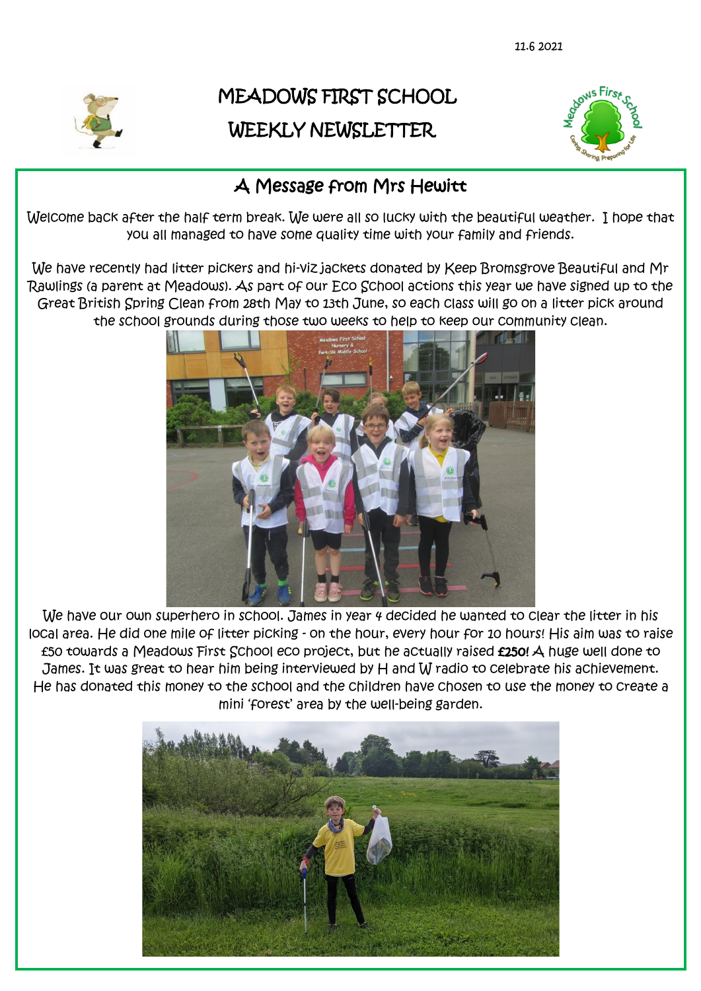

# MEADOWS FIRST SCHOOL WEEKLY NEWSLETTER



### A Message from Mrs Hewitt

Welcome back after the half term break. We were all so lucky with the beautiful weather. I hope that you all managed to have some quality time with your family and friends.

We have recently had litter pickers and hi-viz jackets donated by Keep Bromsgrove Beautiful and Mr Rawlings (a parent at Meadows). As part of our Eco School actions this year we have signed up to the Great British Spring Clean from 28th May to 13th June, so each class will go on a litter pick around the school grounds during those two weeks to help to keep our community clean.



We have our own superhero in school. James in year 4 decided he wanted to clear the litter in his local area. He did one mile of litter picking - on the hour, every hour for 10 hours! His aim was to raise £50 towards a Meadows First School eco project, but he actually raised £250! A huge well done to James. It was great to hear him being interviewed by H and W radio to celebrate his achievement. He has donated this money to the school and the children have chosen to use the money to create a mini 'forest' area by the well-being garden.

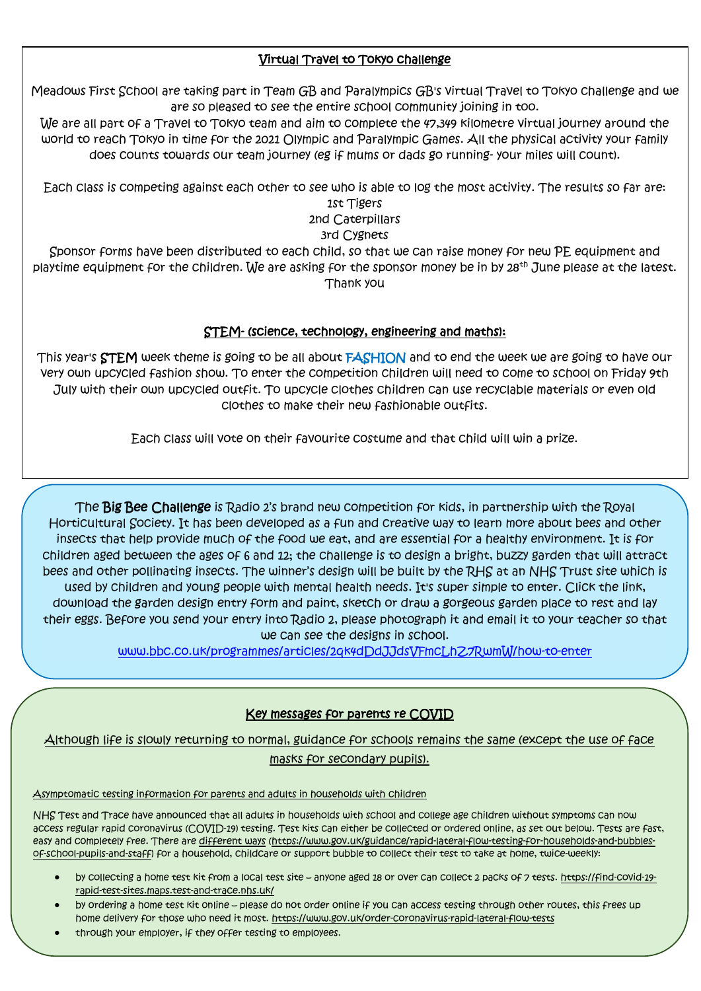#### Virtual Travel to Tokyo challenge

Meadows First School are taking part in Team GB and Paralympics GB's virtual Travel to Tokyo challenge and we are so pleased to see the entire school community joining in too.

We are all part of a Travel to Tokyo team and aim to complete the 47,349 kilometre virtual journey around the world to reach Tokyo in time for the 2021 Olympic and Paralympic Games. All the physical activity your family does counts towards our team journey (eg if mums or dads go running- your miles will count).

Each class is competing against each other to see who is able to log the most activity. The results so far are: 1st Tigers

2nd Caterpillars

3rd Cygnets

Sponsor forms have been distributed to each child, so that we can raise money for new PE equipment and playtime equipment for the children. We are asking for the sponsor money be in by 28<sup>th</sup> June please at the latest. Thank you

#### STEM- (science, technology, engineering and maths):

This year's STEM week theme is going to be all about FASHION and to end the week we are going to have our very own upcycled fashion show. To enter the competition children will need to come to school on Friday 9th July with their own upcycled outfit. To upcycle clothes children can use recyclable materials or even old clothes to make their new fashionable outfits.

Each class will vote on their favourite costume and that child will win a prize.

The Big Bee Challenge is Radio 2's brand new competition for kids, in partnership with the Royal Horticultural Society. It has been developed as a fun and creative way to learn more about bees and other insects that help provide much of the food we eat, and are essential for a healthy environment. It is for children aged between the ages of 6 and 12; the challenge is to design a bright, buzzy garden that will attract bees and other pollinating insects. The winner's design will be built by the RHS at an NHS Trust site which is used by children and young people with mental health needs. It's super simple to enter. Click the link, download the garden design entry form and paint, sketch or draw a gorgeous garden place to rest and lay their eggs. Before you send your entry into Radio 2, please photograph it and email it to your teacher so that we can see the designs in school.

[www.bbc.co.uk/programmes/articles/2qk4dDdJJdsVFmcLhZ7RwmW/how-to-enter](http://www.bbc.co.uk/programmes/articles/2qk4dDdJJdsVFmcLhZ7RwmW/how-to-enter)

#### Key messages for parents re COVID

Although life is slowly returning to normal, guidance for schools remains the same (except the use of face masks for secondary pupils).

Asymptomatic testing information for parents and adults in households with children

NHS Test and Trace have announced that all adults in households with school and college age children without symptoms can now access regular rapid coronavirus (COVID-19) testing. Test kits can either be collected or ordered online, as set out below. Tests are fast, easy and completely free. There are [different ways](https://www.gov.uk/guidance/rapid-lateral-flow-testing-for-households-and-bubbles-of-school-pupils-and-staff) [\(https://www.gov.uk/guidance/rapid-lateral-flow-testing-for-households-and-bubbles](https://www.gov.uk/guidance/rapid-lateral-flow-testing-for-households-and-bubbles-of-school-pupils-and-staff)[of-school-pupils-and-staff\)](https://www.gov.uk/guidance/rapid-lateral-flow-testing-for-households-and-bubbles-of-school-pupils-and-staff) for a household, childcare or support bubble to collect their test to take at home, twice-weekly:

- by collecting a home test kit from a local test site anyone aged 18 or over can collect 2 packs of 7 tests. [https://find-covid-19](https://find-covid-19-rapid-test-sites.maps.test-and-trace.nhs.uk/) [rapid-test-sites.maps.test-and-trace.nhs.uk/](https://find-covid-19-rapid-test-sites.maps.test-and-trace.nhs.uk/)
- by ordering a home test kit online please do not order online if you can access testing through other routes, this frees up home delivery for those who need it most. <https://www.gov.uk/order-coronavirus-rapid-lateral-flow-tests>
- through your employer, if they offer testing to employees.